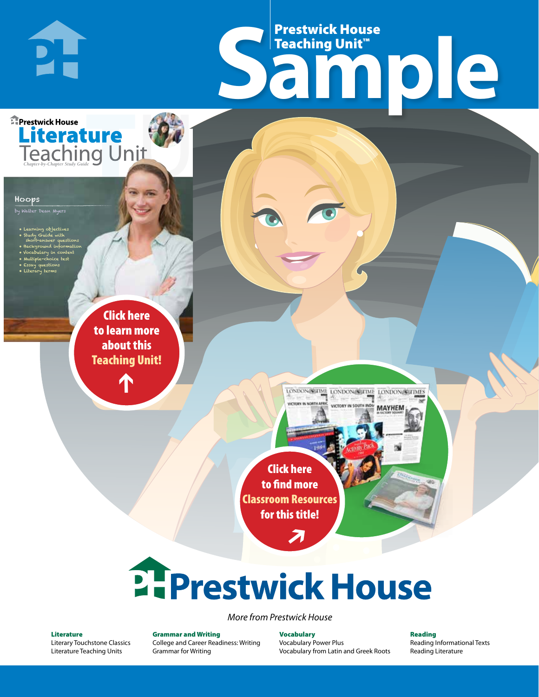# Frestwick House<br>
Sample Prestwick House Teaching Unit™

LONDON-SCITME LONDON/SCITME LONDON/SCITMES USERVAN IN COID

**MAYHEM** 

**Prestwick House** Literature

**PH** 

#### Hoops

by Walter Dean Myers

- 
- Learning objectives • Study Guide with
- short-answer questions • Background information
- Vocabulary in context

**A Tale of Two Cities**

CHARLES DICKENS

- Multiple-choice test • Essay questions
- Literary terms

r e o r d e r n o . x x x x x x Click here to learn more about this [Teaching Unit!](https://www.prestwickhouse.com/pdf/id-201238/Hoops_-_Downloadable_Teaching_Unit)

 $\mathbf{T}$ 

1

Click here to find more [Classroom Resources](http://teaching-english.prestwickhouse.com/search#w=hoops?)  for this title!

 $\overline{\boldsymbol{\lambda}}$ 

# 2. Prestwick House

#### *More from Prestwick House*

#### Literature

[Literary Touchstone Classics](https://www.prestwickhouse.com/literary-touchstone-classics) [Literature Teaching Units](https://www.prestwickhouse.com/teaching-units)

Grammar and Writing [College and Career Readiness: Writing](https://www.prestwickhouse.com/college-and-career-readiness-writing) [Grammar for Writing](https://www.prestwickhouse.com/book/id-302639/Grammar_for_Writing_-_30_Books_and_Teachers_Edition)

Vocabulary [Vocabulary Power Plus](https://www.prestwickhouse.com/vocabulary-power-plus-for-college-and-career-readiness) [Vocabulary from Latin and Greek Roots](https://www.prestwickhouse.com/vocabulary-from-latin-and-greek-roots) Reading

[Reading Informational Texts](https://www.prestwickhouse.com/reading-informational-texts) [Reading Literature](https://www.prestwickhouse.com/reading-literature)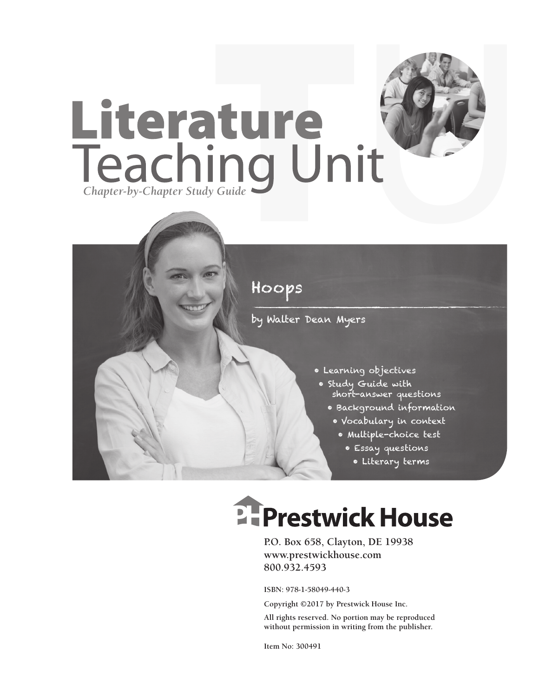

by Walter Dean Myers

- Learning objectives
- Study Guide with short-answer questions
	- Background information
	- Vocabulary in context
		- Multiple-choice test
			- Essay questions
			- Literary terms

# **EFPrestwick House**

**P.O. Box 658, Clayton, DE 19938 www.prestwickhouse.com 800.932.4593**

**ISBN: 978-1-58049-440-3**

**Copyright ©2017 by Prestwick House Inc.**

**All rights reserved. No portion may be reproduced without permission in writing from the publisher.**

**Item No: 300491**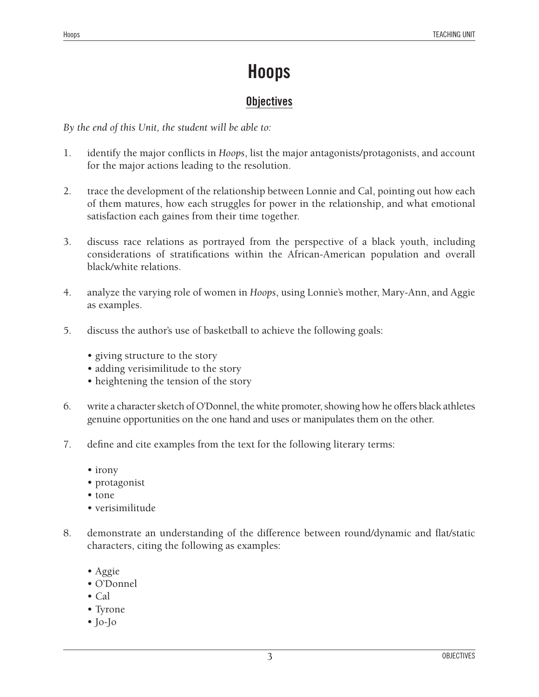#### **Objectives**

*By the end of this Unit, the student will be able to:*

- 1. identify the major conflicts in *Hoops*, list the major antagonists/protagonists, and account for the major actions leading to the resolution.
- 2. trace the development of the relationship between Lonnie and Cal, pointing out how each of them matures, how each struggles for power in the relationship, and what emotional satisfaction each gaines from their time together.
- 3. discuss race relations as portrayed from the perspective of a black youth, including considerations of stratifications within the African-American population and overall black/white relations.
- 4. analyze the varying role of women in *Hoops*, using Lonnie's mother, Mary-Ann, and Aggie as examples.
- 5. discuss the author's use of basketball to achieve the following goals:
	- giving structure to the story
	- adding verisimilitude to the story
	- heightening the tension of the story
- 6. write a character sketch of O'Donnel, the white promoter, showing how he offers black athletes genuine opportunities on the one hand and uses or manipulates them on the other.
- 7. define and cite examples from the text for the following literary terms:
	- irony
	- protagonist
	- tone
	- verisimilitude
- 8. demonstrate an understanding of the difference between round/dynamic and flat/static characters, citing the following as examples:
	- Aggie
	- O'Donnel
	- Cal
	- Tyrone
	- Jo-Jo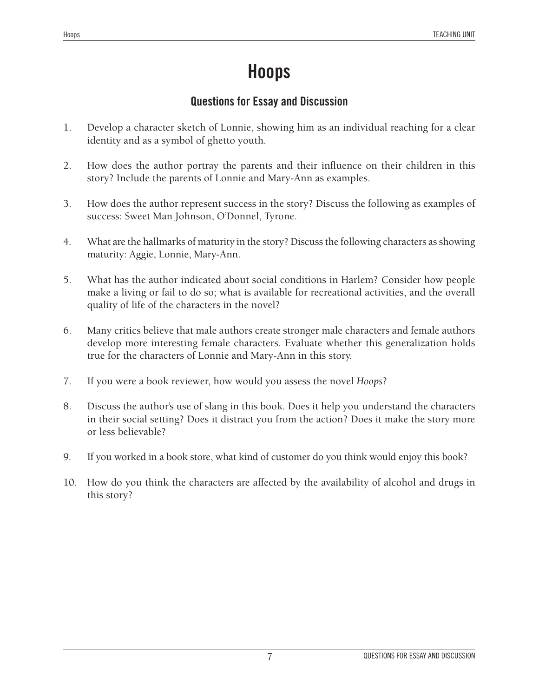## **Questions for Essay and Discussion**

- 1. Develop a character sketch of Lonnie, showing him as an individual reaching for a clear identity and as a symbol of ghetto youth.
- 2. How does the author portray the parents and their influence on their children in this story? Include the parents of Lonnie and Mary-Ann as examples.
- 3. How does the author represent success in the story? Discuss the following as examples of success: Sweet Man Johnson, O'Donnel, Tyrone.
- 4. What are the hallmarks of maturity in the story? Discuss the following characters as showing maturity: Aggie, Lonnie, Mary-Ann.
- 5. What has the author indicated about social conditions in Harlem? Consider how people make a living or fail to do so; what is available for recreational activities, and the overall quality of life of the characters in the novel?
- 6. Many critics believe that male authors create stronger male characters and female authors develop more interesting female characters. Evaluate whether this generalization holds true for the characters of Lonnie and Mary-Ann in this story.
- 7. If you were a book reviewer, how would you assess the novel *Hoops*?
- 8. Discuss the author's use of slang in this book. Does it help you understand the characters in their social setting? Does it distract you from the action? Does it make the story more or less believable?
- 9. If you worked in a book store, what kind of customer do you think would enjoy this book?
- 10. How do you think the characters are affected by the availability of alcohol and drugs in this story?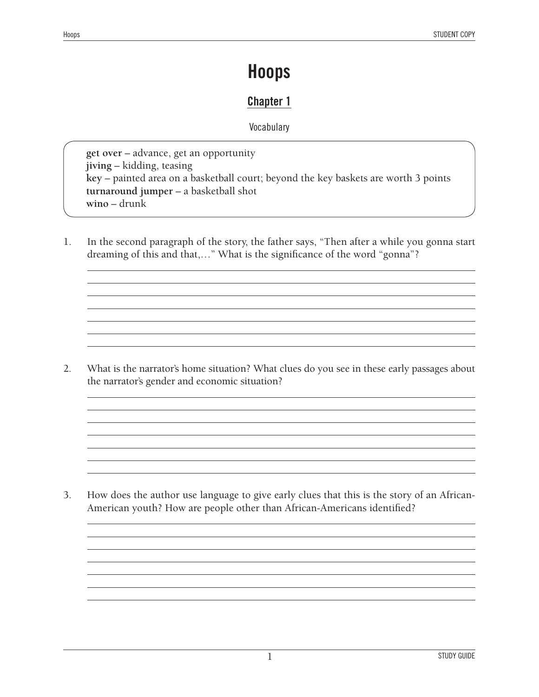#### **Chapter 1**

**Vocabulary** 

**get over** – advance, get an opportunity **jiving** – kidding, teasing **key** – painted area on a basketball court; beyond the key baskets are worth 3 points **turnaround jumper** – a basketball shot **wino** – drunk

1. In the second paragraph of the story, the father says, "Then after a while you gonna start dreaming of this and that,…" What is the significance of the word "gonna"?

2. What is the narrator's home situation? What clues do you see in these early passages about the narrator's gender and economic situation?

3. How does the author use language to give early clues that this is the story of an African-American youth? How are people other than African-Americans identified?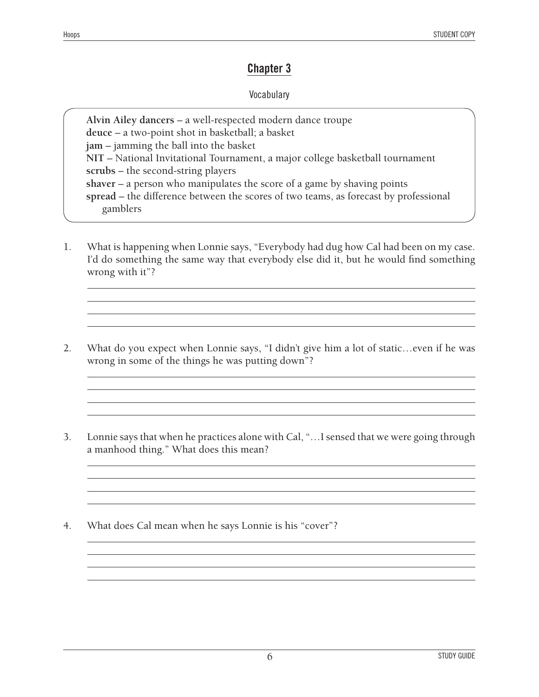#### **Chapter 3**

#### **Vocabulary**

**Alvin Ailey dancers** – a well-respected modern dance troupe **deuce** – a two-point shot in basketball; a basket **jam** – jamming the ball into the basket **NIT** – National Invitational Tournament, a major college basketball tournament **scrubs** – the second-string players **shaver** – a person who manipulates the score of a game by shaving points **spread** – the difference between the scores of two teams, as forecast by professional gamblers

- 1. What is happening when Lonnie says, "Everybody had dug how Cal had been on my case. I'd do something the same way that everybody else did it, but he would find something wrong with it"?
- 2. What do you expect when Lonnie says, "I didn't give him a lot of static…even if he was wrong in some of the things he was putting down"?
- 3. Lonnie says that when he practices alone with Cal, "…I sensed that we were going through a manhood thing." What does this mean?
- 4. What does Cal mean when he says Lonnie is his "cover"?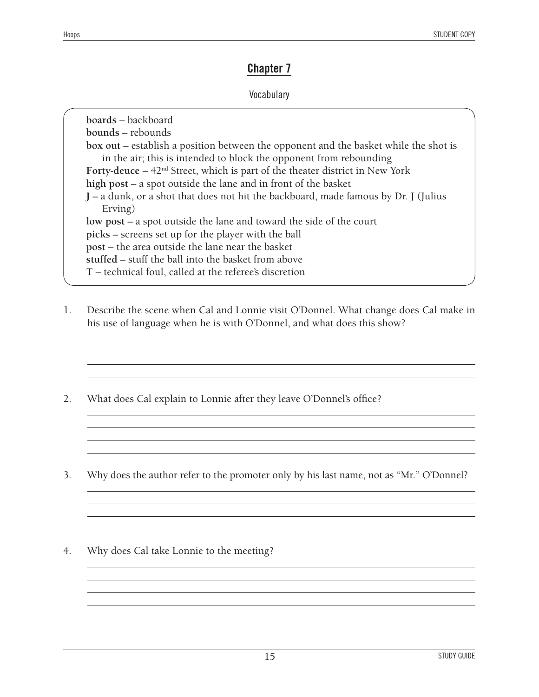#### **Chapter 7**

#### **Vocabulary**

**boards** – backboard **bounds** – rebounds **box out** – establish a position between the opponent and the basket while the shot is in the air; this is intended to block the opponent from rebounding **Forty-deuce** –  $42<sup>nd</sup>$  Street, which is part of the theater district in New York **high post** – a spot outside the lane and in front of the basket **J** – a dunk, or a shot that does not hit the backboard, made famous by Dr. J (Julius Erving) **low post** – a spot outside the lane and toward the side of the court **picks** – screens set up for the player with the ball **post** – the area outside the lane near the basket **stuffed** – stuff the ball into the basket from above **T** – technical foul, called at the referee's discretion

- 1. Describe the scene when Cal and Lonnie visit O'Donnel. What change does Cal make in his use of language when he is with O'Donnel, and what does this show?
- 2. What does Cal explain to Lonnie after they leave O'Donnel's office?
- 3. Why does the author refer to the promoter only by his last name, not as "Mr." O'Donnel?
- 4. Why does Cal take Lonnie to the meeting?